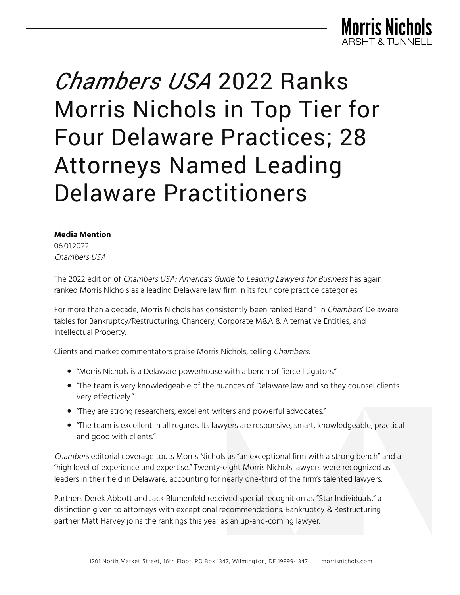

#### **Media Mention**

06.012022 Chambers USA

The 2022 edition of Chambers USA: America's Guide to Leading Lawyers for Business has again ranked Morris Nichols as a leading Delaware law firm in its four core practice categories.

For more than a decade, Morris Nichols has consistently been ranked Band 1 in Chambers' Delaware tables for Bankruptcy/Restructuring, Chancery, Corporate M&A & Alternative Entities, and Intellectual Property.

Clients and market commentators praise Morris Nichols, telling Chambers:

- "Morris Nichols is a Delaware powerhouse with a bench of fierce litigators."
- "The team is very knowledgeable of the nuances of Delaware law and so they counsel clients very effectively."
- "They are strong researchers, excellent writers and powerful advocates."
- "The team is excellent in all regards. Its lawyers are responsive, smart, knowledgeable, practical and good with clients."

Chambers editorial coverage touts Morris Nichols as "an exceptional firm with a strong bench" and a "high level of experience and expertise." Twenty-eight Morris Nichols lawyers were recognized as leaders in their field in Delaware, accounting for nearly one-third of the firm's talented lawyers.

Partners Derek Abbott and Jack Blumenfeld received special recognition as "Star Individuals," a distinction given to attorneys with exceptional recommendations. Bankruptcy & Restructuring partner Matt Harvey joins the rankings this year as an up-and-coming lawyer.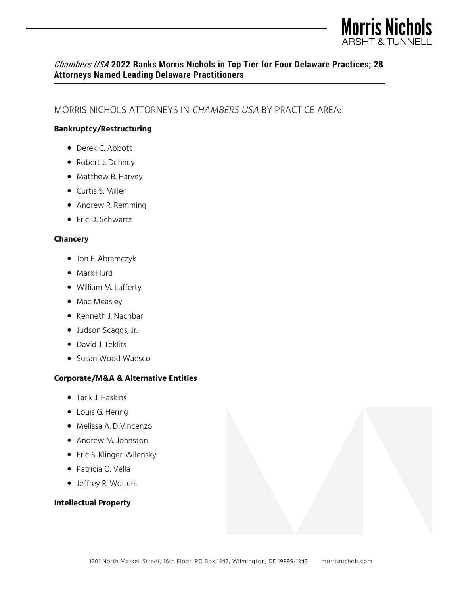

## MORRIS NICHOLS ATTORNEYS IN CHAMBERS USA BY PRACTICE AREA:

#### **Bankruptcy/Restructuring**

- Derek C. Abbott
- Robert J. Dehney
- Matthew B. Harvey
- Curtis S. Miller
- Andrew R. Remming
- Eric D. Schwartz

#### **Chancery**

- Jon E. Abramczyk
- Mark Hurd
- William M. Lafferty
- Mac Measley
- Kenneth J. Nachbar
- Judson Scaggs, Jr.
- David J. Teklits
- Susan Wood Waesco

#### **Corporate/M&A & Alternative Entities**

- Tarik J. Haskins
- Louis G. Hering
- Melissa A. DiVincenzo
- Andrew M. Johnston
- Eric S. Klinger-Wilensky
- Patricia O. Vella
- Jeffrey R. Wolters

#### **Intellectual Property**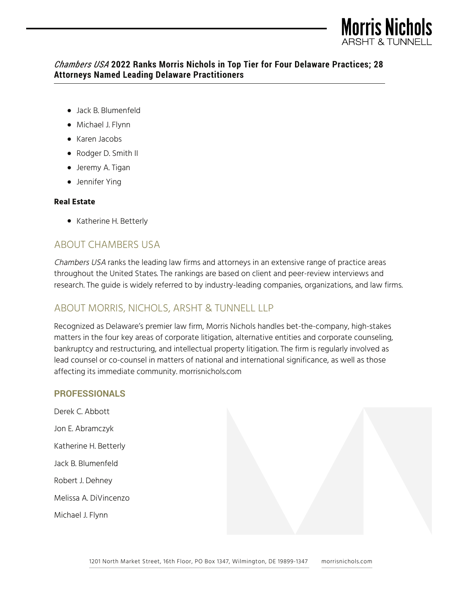

- Jack B. Blumenfeld
- Michael J. Flynn
- Karen Jacobs
- Rodger D. Smith II
- Jeremy A. Tigan
- Jennifer Ying

#### **Real Estate**

● Katherine H. Betterly

# ABOUT CHAMBERS USA

Chambers USA ranks the leading law firms and attorneys in an extensive range of practice areas throughout the United States. The rankings are based on client and peer-review interviews and research. The guide is widely referred to by industry-leading companies, organizations, and law firms.

# ABOUT MORRIS, NICHOLS, ARSHT & TUNNELL LLP

Recognized as Delaware's premier law firm, Morris Nichols handles bet-the-company, high-stakes matters in the four key areas of corporate litigation, alternative entities and corporate counseling, bankruptcy and restructuring, and intellectual property litigation. The firm is regularly involved as lead counsel or co-counsel in matters of national and international significance, as well as those affecting its immediate community. morrisnichols.com

#### **PROFESSIONALS**

Derek C. Abbott Jon E. Abramczyk Katherine H. Betterly Jack B. Blumenfeld Robert J. Dehney Melissa A. DiVincenzo Michael J. Flynn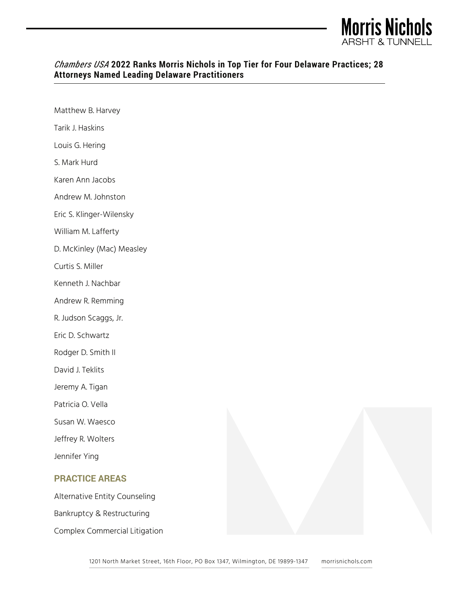

| Matthew B. Harvey             |  |
|-------------------------------|--|
| Tarik J. Haskins              |  |
| Louis G. Hering               |  |
| S. Mark Hurd                  |  |
| Karen Ann Jacobs              |  |
| Andrew M. Johnston            |  |
| Eric S. Klinger-Wilensky      |  |
| William M. Lafferty           |  |
| D. McKinley (Mac) Measley     |  |
| Curtis S. Miller              |  |
| Kenneth J. Nachbar            |  |
| Andrew R. Remming             |  |
| R. Judson Scaggs, Jr.         |  |
| Eric D. Schwartz              |  |
| Rodger D. Smith II            |  |
| David J. Teklits              |  |
| Jeremy A. Tigan               |  |
| Patricia O. Vella             |  |
| Susan W. Waesco               |  |
| Jeffrey R. Wolters            |  |
| Jennifer Ying                 |  |
| <b>PRACTICE AREAS</b>         |  |
| Alternative Entity Counseling |  |
| Bankruptcy & Restructuring    |  |
| Complex Commercial Litigation |  |
|                               |  |